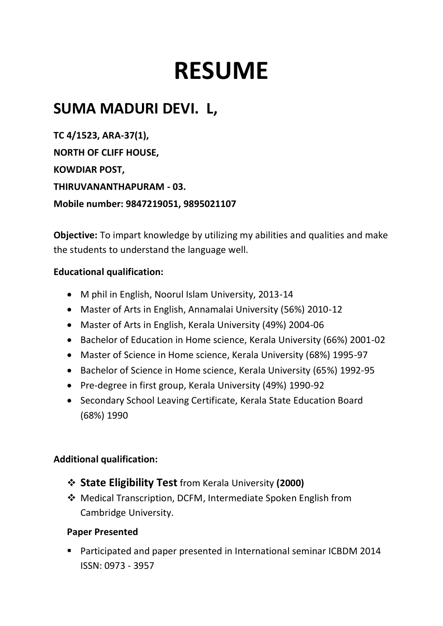# **RESUME**

## **SUMA MADURI DEVI. L,**

**TC 4/1523, ARA-37(1), NORTH OF CLIFF HOUSE, KOWDIAR POST, THIRUVANANTHAPURAM - 03. Mobile number: 9847219051, 9895021107**

**Objective:** To impart knowledge by utilizing my abilities and qualities and make the students to understand the language well.

#### **Educational qualification:**

- M phil in English, Noorul Islam University, 2013-14
- Master of Arts in English, Annamalai University (56%) 2010-12
- Master of Arts in English, Kerala University (49%) 2004-06
- Bachelor of Education in Home science, Kerala University (66%) 2001-02
- Master of Science in Home science, Kerala University (68%) 1995-97
- Bachelor of Science in Home science, Kerala University (65%) 1992-95
- Pre-degree in first group, Kerala University (49%) 1990-92
- Secondary School Leaving Certificate, Kerala State Education Board (68%) 1990

#### **Additional qualification:**

- **State Eligibility Test** from Kerala University **(2000)**
- Medical Transcription, DCFM, Intermediate Spoken English from Cambridge University.

#### **Paper Presented**

 Participated and paper presented in International seminar ICBDM 2014 ISSN: 0973 - 3957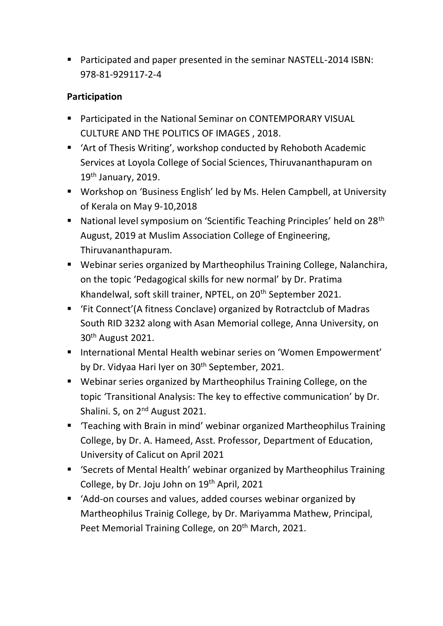Participated and paper presented in the seminar NASTELL-2014 ISBN: 978-81-929117-2-4

#### **Participation**

- **Participated in the National Seminar on CONTEMPORARY VISUAL** CULTURE AND THE POLITICS OF IMAGES , 2018.
- 'Art of Thesis Writing', workshop conducted by Rehoboth Academic Services at Loyola College of Social Sciences, Thiruvananthapuram on 19th January, 2019.
- Workshop on 'Business English' led by Ms. Helen Campbell, at University of Kerala on May 9-10,2018
- National level symposium on 'Scientific Teaching Principles' held on 28<sup>th</sup> August, 2019 at Muslim Association College of Engineering, Thiruvananthapuram.
- Webinar series organized by Martheophilus Training College, Nalanchira, on the topic 'Pedagogical skills for new normal' by Dr. Pratima Khandelwal, soft skill trainer, NPTEL, on 20<sup>th</sup> September 2021.
- 'Fit Connect'(A fitness Conclave) organized by Rotractclub of Madras South RID 3232 along with Asan Memorial college, Anna University, on 30th August 2021.
- International Mental Health webinar series on 'Women Empowerment' by Dr. Vidyaa Hari Iyer on 30<sup>th</sup> September, 2021.
- Webinar series organized by Martheophilus Training College, on the topic 'Transitional Analysis: The key to effective communication' by Dr. Shalini. S, on 2<sup>nd</sup> August 2021.
- 'Teaching with Brain in mind' webinar organized Martheophilus Training College, by Dr. A. Hameed, Asst. Professor, Department of Education, University of Calicut on April 2021
- 'Secrets of Mental Health' webinar organized by Martheophilus Training College, by Dr. Joju John on 19th April, 2021
- 'Add-on courses and values, added courses webinar organized by Martheophilus Trainig College, by Dr. Mariyamma Mathew, Principal, Peet Memorial Training College, on 20<sup>th</sup> March, 2021.